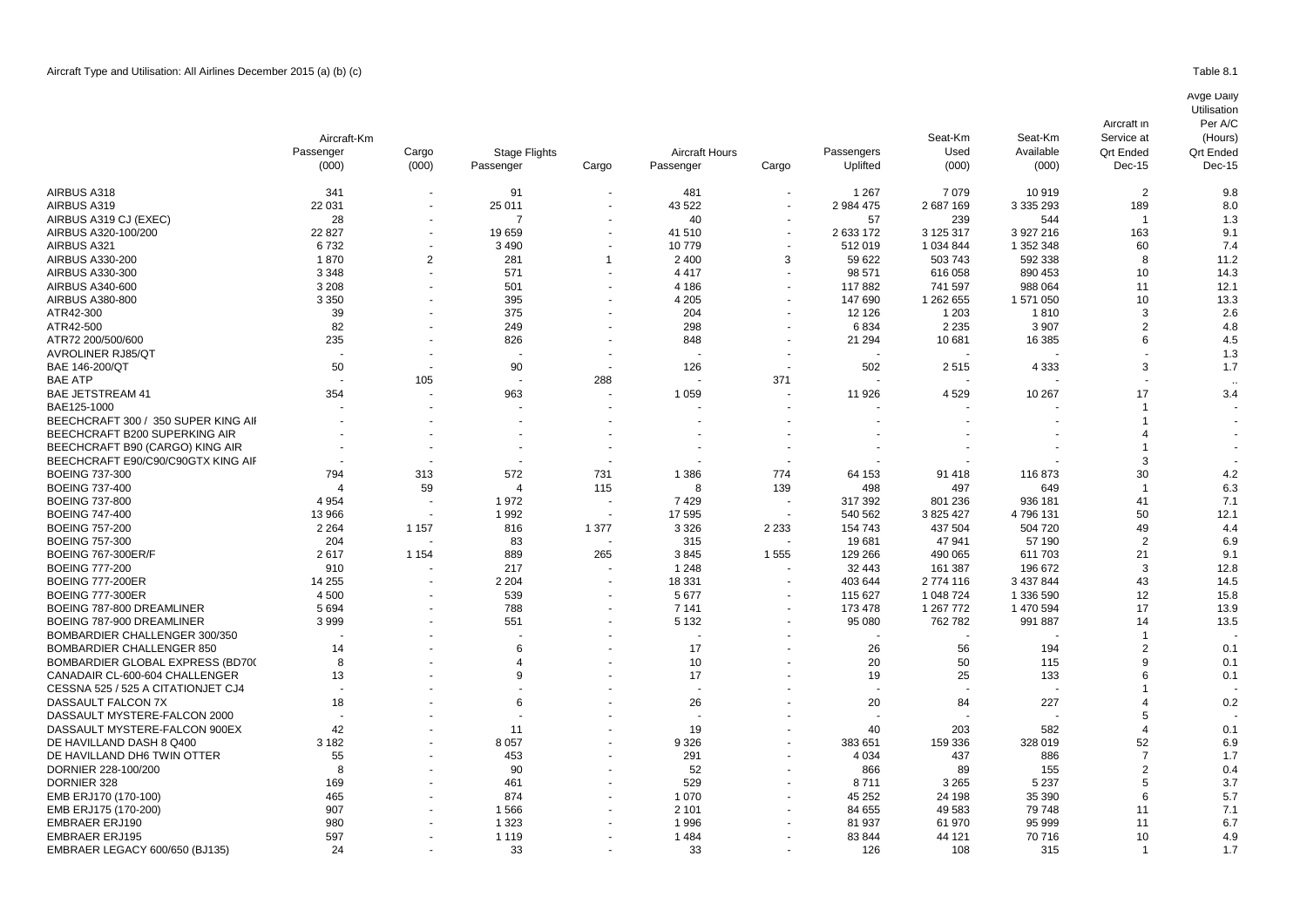|                                     | Aircraft-Km |                          |                                   |                          |                                    |                          |                        | Seat-Km       | Seat-Km            | Service at                 | (Hours)                    |
|-------------------------------------|-------------|--------------------------|-----------------------------------|--------------------------|------------------------------------|--------------------------|------------------------|---------------|--------------------|----------------------------|----------------------------|
|                                     | Passenger   | Cargo<br>(000)           | <b>Stage Flights</b><br>Passenger | Cargo                    | <b>Aircraft Hours</b><br>Passenger | Cargo                    | Passengers<br>Uplifted | Used<br>(000) | Available<br>(000) | <b>Qrt Ended</b><br>Dec-15 | <b>Qrt Ended</b><br>Dec-15 |
|                                     | (000)       |                          |                                   |                          |                                    |                          |                        |               |                    |                            |                            |
| AIRBUS A318                         | 341         | $\overline{\phantom{a}}$ | 91                                | $\sim$                   | 481                                |                          | 1 2 6 7                | 7079          | 10919              | 2                          | 9.8                        |
| AIRBUS A319                         | 22 031      |                          | 25 011                            |                          | 43 522                             |                          | 2 984 475              | 2687169       | 3 3 3 2 9 3        | 189                        | 8.0                        |
| AIRBUS A319 CJ (EXEC)               | 28          |                          | $\overline{7}$                    | $\overline{\phantom{a}}$ | 40                                 |                          | 57                     | 239           | 544                |                            | 1.3                        |
| AIRBUS A320-100/200                 | 22 8 27     |                          | 19659                             | $\blacksquare$           | 41510                              |                          | 2 633 172              | 3 125 317     | 3 927 216          | 163                        | 9.1                        |
| AIRBUS A321                         | 6732        |                          | 3 4 9 0                           |                          | 10779                              |                          | 512019                 | 1 0 34 8 44   | 1 352 348          | 60                         | 7.4                        |
| AIRBUS A330-200                     | 1870        | $\overline{2}$           | 281                               |                          | 2 4 0 0                            | 3                        | 59 622                 | 503 743       | 592 338            | 8                          | 11.2                       |
| AIRBUS A330-300                     | 3 3 4 8     |                          | 571                               |                          | 4 4 1 7                            |                          | 98 571                 | 616 058       | 890 453            | 10                         | 14.3                       |
| AIRBUS A340-600                     | 3 2 0 8     |                          | 501                               |                          | 4 1 8 6                            |                          | 117882                 | 741 597       | 988 064            | 11                         | 12.1                       |
| AIRBUS A380-800                     | 3 3 5 0     |                          | 395                               | $\blacksquare$           | 4 2 0 5                            |                          | 147 690                | 1 262 655     | 1 571 050          | 10                         | 13.3                       |
| ATR42-300                           | 39          |                          | 375                               |                          | 204                                |                          | 12 1 26                | 1 203         | 1810               | 3                          | 2.6                        |
| ATR42-500                           | 82          |                          | 249                               | $\overline{a}$           | 298                                |                          | 6834                   | 2 2 3 5       | 3 9 0 7            | $\overline{2}$             | 4.8                        |
| ATR72 200/500/600                   | 235         |                          | 826                               |                          | 848                                |                          | 21 294                 | 10 681        | 16 385             | 6                          | 4.5                        |
| <b>AVROLINER RJ85/QT</b>            |             |                          |                                   |                          |                                    |                          |                        |               |                    |                            | 1.3                        |
| BAE 146-200/QT                      | 50          |                          | 90                                |                          | 126                                |                          | 502                    | 2515          | 4 3 3 3            | 3                          | 1.7                        |
| <b>BAE ATP</b>                      |             | 105                      |                                   | 288                      |                                    | 371                      |                        |               |                    |                            |                            |
| <b>BAE JETSTREAM 41</b>             | 354         |                          | 963                               | $\overline{\phantom{a}}$ | 1 0 5 9                            |                          | 11 926                 | 4529          | 10 267             | 17                         | 3.4                        |
| BAE125-1000                         |             |                          |                                   |                          |                                    |                          |                        |               |                    |                            |                            |
| BEECHCRAFT 300 / 350 SUPER KING AII |             |                          |                                   |                          |                                    |                          |                        |               |                    |                            |                            |
| BEECHCRAFT B200 SUPERKING AIR       |             |                          |                                   |                          |                                    |                          |                        |               |                    |                            |                            |
| BEECHCRAFT B90 (CARGO) KING AIR     |             |                          |                                   |                          |                                    |                          |                        |               |                    |                            |                            |
| BEECHCRAFT E90/C90/C90GTX KING AIF  |             |                          |                                   |                          |                                    |                          |                        |               |                    | 3                          |                            |
| <b>BOEING 737-300</b>               | 794         | 313                      | 572                               | 731                      | 1 3 8 6                            | 774                      | 64 153                 | 91 418        | 116873             | 30                         | 4.2                        |
| <b>BOEING 737-400</b>               |             | 59                       | $\Delta$                          | 115                      | 8                                  | 139                      | 498                    | 497           | 649                |                            | 6.3                        |
| <b>BOEING 737-800</b>               | 4 9 5 4     |                          | 1972                              |                          | 7429                               |                          | 317 392                | 801 236       | 936 181            | 41                         | 7.1                        |
| <b>BOEING 747-400</b>               | 13 966      |                          | 1992                              | $\sim$                   | 17 595                             |                          | 540 562                | 3 825 427     | 4796131            | 50                         | 12.1                       |
| <b>BOEING 757-200</b>               | 2 2 6 4     | 1 1 5 7                  | 816                               | 1 377                    | 3 3 2 6                            | 2 2 3 3                  | 154 743                | 437 504       | 504 720            | 49                         | 4.4                        |
| <b>BOEING 757-300</b>               | 204         | $\blacksquare$           | 83                                | $\overline{\phantom{a}}$ | 315                                |                          | 19681                  | 47 941        | 57 190             | $\overline{2}$             | 6.9                        |
| <b>BOEING 767-300ER/F</b>           | 2617        | 1 1 5 4                  | 889                               | 265                      | 3845                               | 1555                     | 129 266                | 490 065       | 611 703            | 21                         | 9.1                        |
| <b>BOEING 777-200</b>               | 910         |                          | 217                               |                          | 1 2 4 8                            |                          | 32 443                 | 161 387       | 196 672            | 3                          | 12.8                       |
| <b>BOEING 777-200ER</b>             | 14 255      |                          | 2 2 0 4                           | $\sim$                   | 18 331                             | $\overline{\phantom{a}}$ | 403 644                | 2 774 116     | 3 437 844          | 43                         | 14.5                       |
| <b>BOEING 777-300ER</b>             | 4 500       |                          | 539                               |                          | 5 6 7 7                            |                          | 115 627                | 1 048 724     | 1 336 590          | 12                         | 15.8                       |
| BOEING 787-800 DREAMLINER           | 5694        |                          | 788                               | $\sim$                   | 7 1 4 1                            |                          | 173 478                | 1 267 772     | 1 470 594          | 17                         | 13.9                       |
| BOEING 787-900 DREAMLINER           | 3999        |                          | 551                               |                          | 5 1 3 2                            |                          | 95 080                 | 762 782       | 991 887            | 14                         | 13.5                       |
| BOMBARDIER CHALLENGER 300/350       |             |                          |                                   |                          |                                    |                          |                        |               |                    |                            |                            |
| <b>BOMBARDIER CHALLENGER 850</b>    | 14          |                          | 6                                 |                          | 17                                 |                          | 26                     | 56            | 194                | $\overline{2}$             | 0.1                        |
| BOMBARDIER GLOBAL EXPRESS (BD700)   | 8           |                          | $\overline{4}$                    |                          | 10                                 |                          | 20                     | 50            | 115                | 9                          | 0.1                        |
| CANADAIR CL-600-604 CHALLENGER      | 13          |                          | 9                                 |                          | 17                                 |                          | 19                     | 25            | 133                |                            | 0.1                        |
| CESSNA 525 / 525 A CITATIONJET CJ4  |             |                          |                                   |                          |                                    |                          |                        |               |                    |                            |                            |
| DASSAULT FALCON 7X                  | 18          |                          | 6                                 |                          | 26                                 |                          | 20                     | 84            | 227                |                            | 0.2                        |
| DASSAULT MYSTERE-FALCON 2000        |             |                          |                                   |                          |                                    |                          |                        |               |                    |                            |                            |
| DASSAULT MYSTERE-FALCON 900EX       | 42          |                          | 11                                |                          | 19                                 |                          | 40                     | 203           | 582                |                            | 0.1                        |
| DE HAVILLAND DASH 8 Q400            | 3 1 8 2     |                          | 8 0 5 7                           |                          | 9 3 2 6                            |                          | 383 651                | 159 336       | 328 019            | 52                         | 6.9                        |
| DE HAVILLAND DH6 TWIN OTTER         | 55          |                          | 453                               |                          | 291                                |                          | 4 0 34                 | 437           | 886                |                            | 1.7                        |

DORNIER 228-100/200 8 - 90 - 52 - 866 89 155 2 0.4 DORNIER 328 169 - 461 - 529 - 8 711 3 265 5 237 5 3.7 EMB ERJ170 (170-100) 465 874 1 070 45 252 24 198 35 390 6 5.7 7.1 EMB ERJ175 (170-200) 907 - 1 566 - 2 101 - 84 655 49 583 79 748 EMBRAER ERJ190 980 - 1 323 - 1 996 - 81 937 61 970 95 999 11 6.7 EMBRAER ERJ195 597 - 1 119 - 1 484 - 83 844 44 121 70 716 10 4.9 EMBRAER LEGACY 600/650 (BJ135) 24 24 23 33 - 33 3 3 3 3 3 3 3 4 3 3 4 3 3 4 3 3 4 3 4 3 4 3 4 3 4 3 4 3 4 3 4 3 4 3 4 3 4 3 4 3 4 3 4 3 4 3 4 3 4 3 4 3 4 3 4 3 4 3 4 3 4 3 4 3 4 3 4 3 4 3 4 3 4 3 4 3 4 3 4 3 4 3 4 3 4 3 4

Utilisation Per A/C

Aircraft in